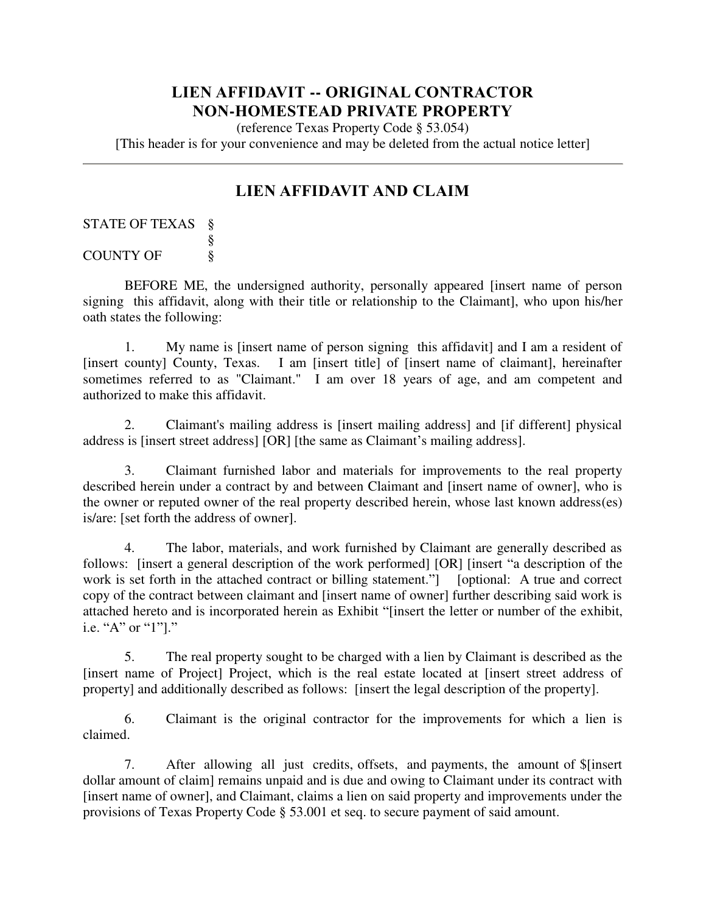## **LIEN AFFIDAVIT -- ORIGINAL CONTRACTOR NON-HOMESTEAD PRIVATE PROPERTY**

(reference Texas Property Code § 53.054)

[This header is for your convenience and may be deleted from the actual notice letter]

## **LIEN AFFIDAVIT AND CLAIM**

## STATE OF TEXAS § § COUNTY OF  $\frac{1}{2}$

BEFORE ME, the undersigned authority, personally appeared [insert name of person signing this affidavit, along with their title or relationship to the Claimant], who upon his/her oath states the following:

1. My name is [insert name of person signing this affidavit] and I am a resident of [insert county] County, Texas. I am [insert title] of [insert name of claimant], hereinafter sometimes referred to as "Claimant." I am over 18 years of age, and am competent and authorized to make this affidavit.

2. Claimant's mailing address is [insert mailing address] and [if different] physical address is [insert street address] [OR] [the same as Claimant's mailing address].

3. Claimant furnished labor and materials for improvements to the real property described herein under a contract by and between Claimant and [insert name of owner], who is the owner or reputed owner of the real property described herein, whose last known address(es) is/are: [set forth the address of owner].

4. The labor, materials, and work furnished by Claimant are generally described as follows: [insert a general description of the work performed] [OR] [insert "a description of the work is set forth in the attached contract or billing statement." [optional: A true and correct copy of the contract between claimant and [insert name of owner] further describing said work is attached hereto and is incorporated herein as Exhibit "[insert the letter or number of the exhibit, i.e. "A" or "1"]."

5. The real property sought to be charged with a lien by Claimant is described as the [insert name of Project] Project, which is the real estate located at [insert street address of property] and additionally described as follows: [insert the legal description of the property].

6. Claimant is the original contractor for the improvements for which a lien is claimed.

7. After allowing all just credits, offsets, and payments, the amount of \$[insert dollar amount of claim] remains unpaid and is due and owing to Claimant under its contract with [insert name of owner], and Claimant, claims a lien on said property and improvements under the provisions of Texas Property Code § 53.001 et seq. to secure payment of said amount.